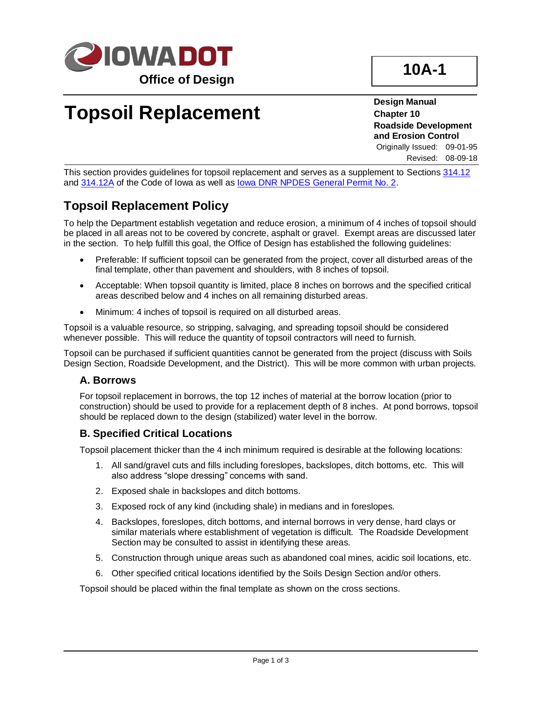

# **Topsoil Replacement**

**Design Manual Chapter 10 Roadside Development and Erosion Control**

Originally Issued: 09-01-95 Revised: 08-09-18

This section provides guidelines for topsoil replacement and serves as a supplement to Section[s 314.12](10A-01/314.12.pdf) and [314.12A](10A-01/314.12A.pdf) of the Code of Iowa as well a[s Iowa DNR NPDES General Permit No. 2.](../ShellLetters/StormWaterPermits/General%20Info%20from%20DNR/GeneralPermit2.pdf)

### **Topsoil Replacement Policy**

To help the Department establish vegetation and reduce erosion, a minimum of 4 inches of topsoil should be placed in all areas not to be covered by concrete, asphalt or gravel. Exempt areas are discussed later in the section. To help fulfill this goal, the Office of Design has established the following guidelines:

- Preferable: If sufficient topsoil can be generated from the project, cover all disturbed areas of the final template, other than pavement and shoulders, with 8 inches of topsoil.
- Acceptable: When topsoil quantity is limited, place 8 inches on borrows and the specified critical areas described below and 4 inches on all remaining disturbed areas.
- Minimum: 4 inches of topsoil is required on all disturbed areas.

Topsoil is a valuable resource, so stripping, salvaging, and spreading topsoil should be considered whenever possible. This will reduce the quantity of topsoil contractors will need to furnish.

Topsoil can be purchased if sufficient quantities cannot be generated from the project (discuss with Soils Design Section, Roadside Development, and the District). This will be more common with urban projects.

#### **A. Borrows**

For topsoil replacement in borrows, the top 12 inches of material at the borrow location (prior to construction) should be used to provide for a replacement depth of 8 inches. At pond borrows, topsoil should be replaced down to the design (stabilized) water level in the borrow.

#### **B. Specified Critical Locations**

Topsoil placement thicker than the 4 inch minimum required is desirable at the following locations:

- 1. All sand/gravel cuts and fills including foreslopes, backslopes, ditch bottoms, etc. This will also address "slope dressing" concerns with sand.
- 2. Exposed shale in backslopes and ditch bottoms.
- 3. Exposed rock of any kind (including shale) in medians and in foreslopes.
- 4. Backslopes, foreslopes, ditch bottoms, and internal borrows in very dense, hard clays or similar materials where establishment of vegetation is difficult. The Roadside Development Section may be consulted to assist in identifying these areas.
- 5. Construction through unique areas such as abandoned coal mines, acidic soil locations, etc.
- 6. Other specified critical locations identified by the Soils Design Section and/or others.

Topsoil should be placed within the final template as shown on the cross sections.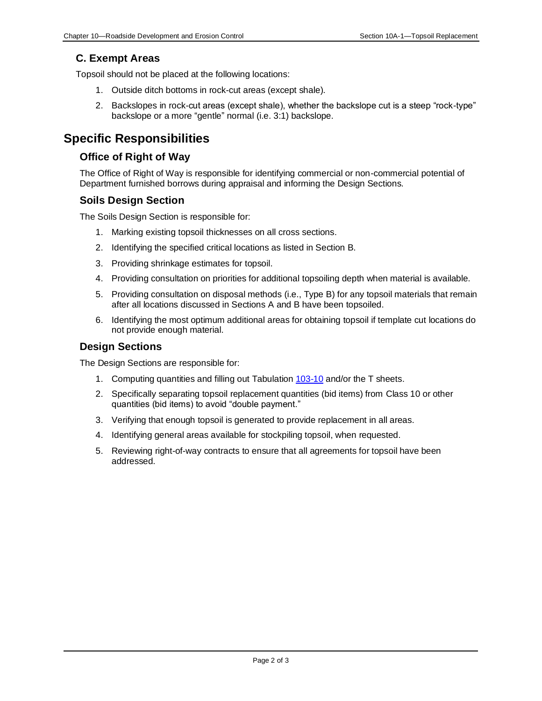#### **C. Exempt Areas**

Topsoil should not be placed at the following locations:

- 1. Outside ditch bottoms in rock-cut areas (except shale).
- 2. Backslopes in rock-cut areas (except shale), whether the backslope cut is a steep "rock-type" backslope or a more "gentle" normal (i.e. 3:1) backslope.

### **Specific Responsibilities**

#### **Office of Right of Way**

The Office of Right of Way is responsible for identifying commercial or non-commercial potential of Department furnished borrows during appraisal and informing the Design Sections.

#### **Soils Design Section**

The Soils Design Section is responsible for:

- 1. Marking existing topsoil thicknesses on all cross sections.
- 2. Identifying the specified critical locations as listed in Section B.
- 3. Providing shrinkage estimates for topsoil.
- 4. Providing consultation on priorities for additional topsoiling depth when material is available.
- 5. Providing consultation on disposal methods (i.e., Type B) for any topsoil materials that remain after all locations discussed in Sections A and B have been topsoiled.
- 6. Identifying the most optimum additional areas for obtaining topsoil if template cut locations do not provide enough material.

#### **Design Sections**

The Design Sections are responsible for:

- 1. Computing quantities and filling out Tabulation [103-10](../tnt/PDFsandWebFiles/IndividualPDFs/0103-10.pdf) and/or the T sheets.
- 2. Specifically separating topsoil replacement quantities (bid items) from Class 10 or other quantities (bid items) to avoid "double payment."
- 3. Verifying that enough topsoil is generated to provide replacement in all areas.
- 4. Identifying general areas available for stockpiling topsoil, when requested.
- 5. Reviewing right-of-way contracts to ensure that all agreements for topsoil have been addressed.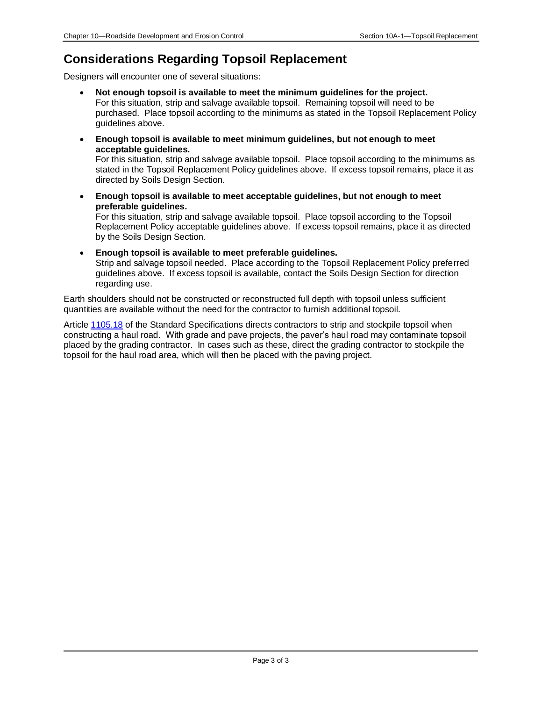## **Considerations Regarding Topsoil Replacement**

Designers will encounter one of several situations:

- **Not enough topsoil is available to meet the minimum guidelines for the project.**  For this situation, strip and salvage available topsoil. Remaining topsoil will need to be purchased. Place topsoil according to the minimums as stated in the Topsoil Replacement Policy guidelines above.
- **Enough topsoil is available to meet minimum guidelines, but not enough to meet acceptable guidelines.**

For this situation, strip and salvage available topsoil. Place topsoil according to the minimums as stated in the Topsoil Replacement Policy guidelines above. If excess topsoil remains, place it as directed by Soils Design Section.

• **Enough topsoil is available to meet acceptable guidelines, but not enough to meet preferable guidelines.**

For this situation, strip and salvage available topsoil. Place topsoil according to the Topsoil Replacement Policy acceptable guidelines above. If excess topsoil remains, place it as directed by the Soils Design Section.

• **Enough topsoil is available to meet preferable guidelines.** Strip and salvage topsoil needed. Place according to the Topsoil Replacement Policy preferred

guidelines above. If excess topsoil is available, contact the Soils Design Section for direction regarding use.

Earth shoulders should not be constructed or reconstructed full depth with topsoil unless sufficient quantities are available without the need for the contractor to furnish additional topsoil.

Article [1105.18](../../erl/current/GS/content/1105.htm) of the Standard Specifications directs contractors to strip and stockpile topsoil when constructing a haul road. With grade and pave projects, the paver's haul road may contaminate topsoil placed by the grading contractor. In cases such as these, direct the grading contractor to stockpile the topsoil for the haul road area, which will then be placed with the paving project.